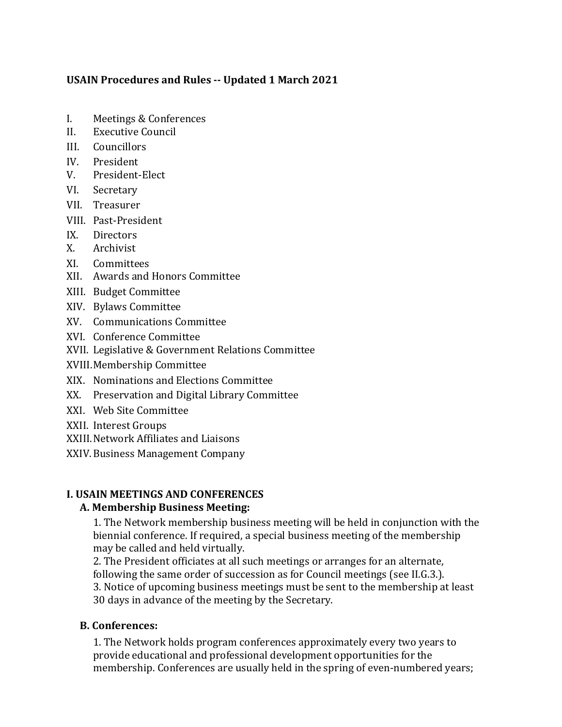#### **USAIN Procedures and Rules -- Updated 1 March 2021**

- I. Meetings & Conferences
- II. Executive Council
- III. Councillors
- IV. President
- V. President-Elect
- VI. Secretary
- VII. Treasurer
- VIII. Past-President
- IX. Directors
- X. Archivist
- XI. Committees
- XII. Awards and Honors Committee
- XIII. Budget Committee
- XIV. Bylaws Committee
- XV. Communications Committee
- XVI. Conference Committee
- XVII. Legislative & Government Relations Committee
- XVIII.Membership Committee
- XIX. Nominations and Elections Committee
- XX. Preservation and Digital Library Committee
- XXI. Web Site Committee
- XXII. Interest Groups
- XXIII. Network Affiliates and Liaisons
- XXIV.Business Management Company

#### **I. USAIN MEETINGS AND CONFERENCES**

#### **A. Membership Business Meeting:**

1. The Network membership business meeting will be held in conjunction with the biennial conference. If required, a special business meeting of the membership may be called and held virtually.

2. The President officiates at all such meetings or arranges for an alternate, following the same order of succession as for Council meetings (see II.G.3.). 3. Notice of upcoming business meetings must be sent to the membership at least 30 days in advance of the meeting by the Secretary.

# **B. Conferences:**

1. The Network holds program conferences approximately every two years to provide educational and professional development opportunities for the membership. Conferences are usually held in the spring of even-numbered years;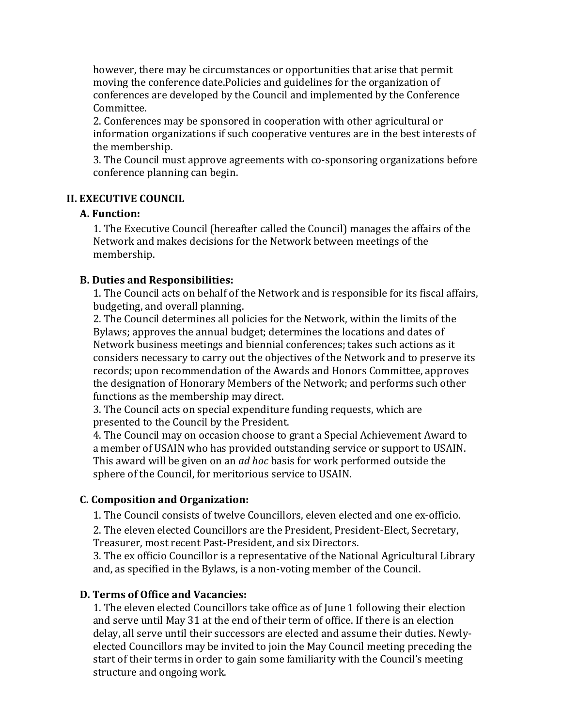however, there may be circumstances or opportunities that arise that permit moving the conference date. Policies and guidelines for the organization of conferences are developed by the Council and implemented by the Conference Committee.

2. Conferences may be sponsored in cooperation with other agricultural or information organizations if such cooperative ventures are in the best interests of the membership.

3. The Council must approve agreements with co-sponsoring organizations before conference planning can begin.

#### **II. EXECUTIVE COUNCIL**

#### **A. Function:**

1. The Executive Council (hereafter called the Council) manages the affairs of the Network and makes decisions for the Network between meetings of the membership.

#### **B. Duties and Responsibilities:**

1. The Council acts on behalf of the Network and is responsible for its fiscal affairs, budgeting, and overall planning.

2. The Council determines all policies for the Network, within the limits of the Bylaws; approves the annual budget; determines the locations and dates of Network business meetings and biennial conferences; takes such actions as it considers necessary to carry out the objectives of the Network and to preserve its records; upon recommendation of the Awards and Honors Committee, approves the designation of Honorary Members of the Network; and performs such other functions as the membership may direct.

3. The Council acts on special expenditure funding requests, which are presented to the Council by the President.

4. The Council may on occasion choose to grant a Special Achievement Award to a member of USAIN who has provided outstanding service or support to USAIN. This award will be given on an *ad hoc* basis for work performed outside the sphere of the Council, for meritorious service to USAIN.

#### **C. Composition and Organization:**

1. The Council consists of twelve Councillors, eleven elected and one ex-officio.

2. The eleven elected Councillors are the President, President-Elect, Secretary, Treasurer, most recent Past-President, and six Directors.

3. The ex officio Councillor is a representative of the National Agricultural Library and, as specified in the Bylaws, is a non-voting member of the Council.

#### **D. Terms of Office and Vacancies:**

1. The eleven elected Councillors take office as of June 1 following their election and serve until May 31 at the end of their term of office. If there is an election delay, all serve until their successors are elected and assume their duties. Newlyelected Councillors may be invited to join the May Council meeting preceding the start of their terms in order to gain some familiarity with the Council's meeting structure and ongoing work.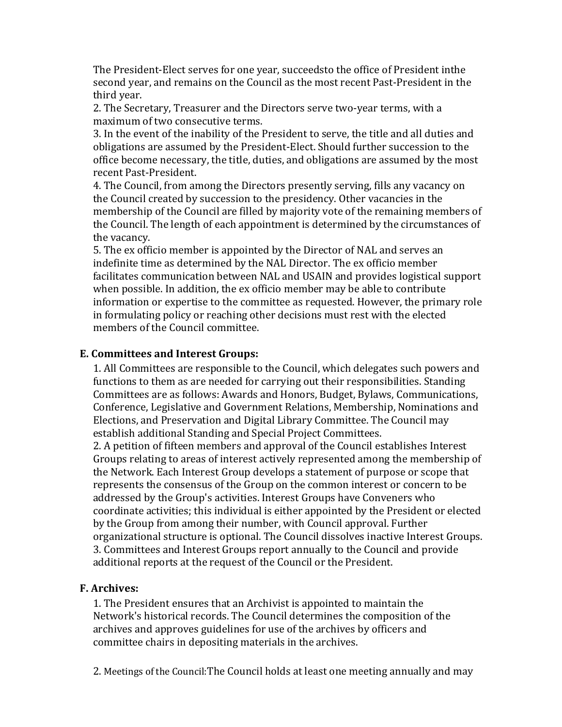The President-Elect serves for one year, succeedsto the office of President inthe second vear, and remains on the Council as the most recent Past-President in the third year.

2. The Secretary, Treasurer and the Directors serve two-year terms, with a maximum of two consecutive terms.

3. In the event of the inability of the President to serve, the title and all duties and obligations are assumed by the President-Elect. Should further succession to the office become necessary, the title, duties, and obligations are assumed by the most recent Past-President.

4. The Council, from among the Directors presently serving, fills any vacancy on the Council created by succession to the presidency. Other vacancies in the membership of the Council are filled by majority vote of the remaining members of the Council. The length of each appointment is determined by the circumstances of the vacancy.

5. The ex officio member is appointed by the Director of NAL and serves an indefinite time as determined by the NAL Director. The ex officio member facilitates communication between NAL and USAIN and provides logistical support when possible. In addition, the ex officio member may be able to contribute information or expertise to the committee as requested. However, the primary role in formulating policy or reaching other decisions must rest with the elected members of the Council committee.

## **E. Committees and Interest Groups:**

1. All Committees are responsible to the Council, which delegates such powers and functions to them as are needed for carrying out their responsibilities. Standing Committees are as follows: Awards and Honors, Budget, Bylaws, Communications, Conference, Legislative and Government Relations, Membership, Nominations and Elections, and Preservation and Digital Library Committee. The Council may establish additional Standing and Special Project Committees.

2. A petition of fifteen members and approval of the Council establishes Interest Groups relating to areas of interest actively represented among the membership of the Network. Each Interest Group develops a statement of purpose or scope that represents the consensus of the Group on the common interest or concern to be addressed by the Group's activities. Interest Groups have Conveners who coordinate activities; this individual is either appointed by the President or elected by the Group from among their number, with Council approval. Further organizational structure is optional. The Council dissolves inactive Interest Groups. 3. Committees and Interest Groups report annually to the Council and provide additional reports at the request of the Council or the President.

#### **F. Archives:**

1. The President ensures that an Archivist is appointed to maintain the Network's historical records. The Council determines the composition of the archives and approves guidelines for use of the archives by officers and committee chairs in depositing materials in the archives.

2. Meetings of the Council: The Council holds at least one meeting annually and may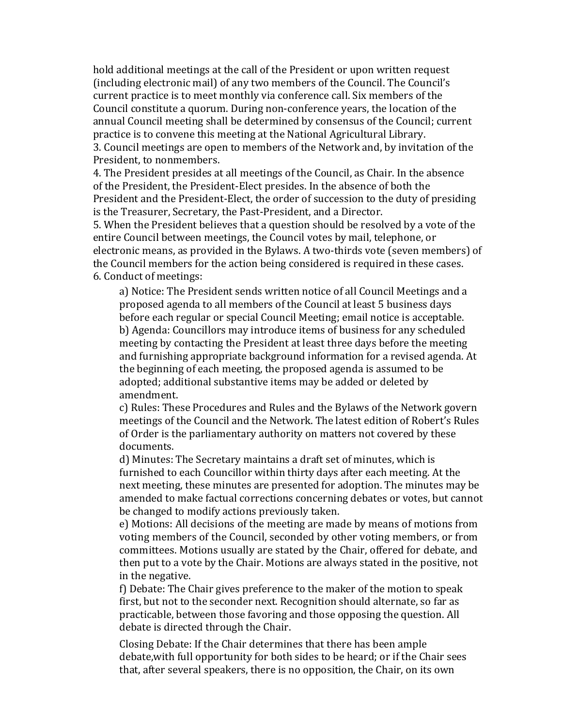hold additional meetings at the call of the President or upon written request (including electronic mail) of any two members of the Council. The Council's current practice is to meet monthly via conference call. Six members of the Council constitute a quorum. During non-conference years, the location of the annual Council meeting shall be determined by consensus of the Council; current practice is to convene this meeting at the National Agricultural Library. 3. Council meetings are open to members of the Network and, by invitation of the President, to nonmembers.

4. The President presides at all meetings of the Council, as Chair. In the absence of the President, the President-Elect presides. In the absence of both the President and the President-Elect, the order of succession to the duty of presiding is the Treasurer, Secretary, the Past-President, and a Director.

5. When the President believes that a question should be resolved by a vote of the entire Council between meetings, the Council votes by mail, telephone, or electronic means, as provided in the Bylaws. A two-thirds vote (seven members) of the Council members for the action being considered is required in these cases. 6. Conduct of meetings:

a) Notice: The President sends written notice of all Council Meetings and a proposed agenda to all members of the Council at least 5 business days before each regular or special Council Meeting; email notice is acceptable. b) Agenda: Councillors may introduce items of business for any scheduled meeting by contacting the President at least three days before the meeting and furnishing appropriate background information for a revised agenda. At the beginning of each meeting, the proposed agenda is assumed to be adopted; additional substantive items may be added or deleted by amendment.

c) Rules: These Procedures and Rules and the Bylaws of the Network govern meetings of the Council and the Network. The latest edition of Robert's Rules of Order is the parliamentary authority on matters not covered by these documents.

d) Minutes: The Secretary maintains a draft set of minutes, which is furnished to each Councillor within thirty days after each meeting. At the next meeting, these minutes are presented for adoption. The minutes may be amended to make factual corrections concerning debates or votes, but cannot be changed to modify actions previously taken.

e) Motions: All decisions of the meeting are made by means of motions from voting members of the Council, seconded by other voting members, or from committees. Motions usually are stated by the Chair, offered for debate, and then put to a vote by the Chair. Motions are always stated in the positive, not in the negative.

f) Debate: The Chair gives preference to the maker of the motion to speak first, but not to the seconder next. Recognition should alternate, so far as practicable, between those favoring and those opposing the question. All debate is directed through the Chair.

Closing Debate: If the Chair determines that there has been ample debate, with full opportunity for both sides to be heard; or if the Chair sees that, after several speakers, there is no opposition, the Chair, on its own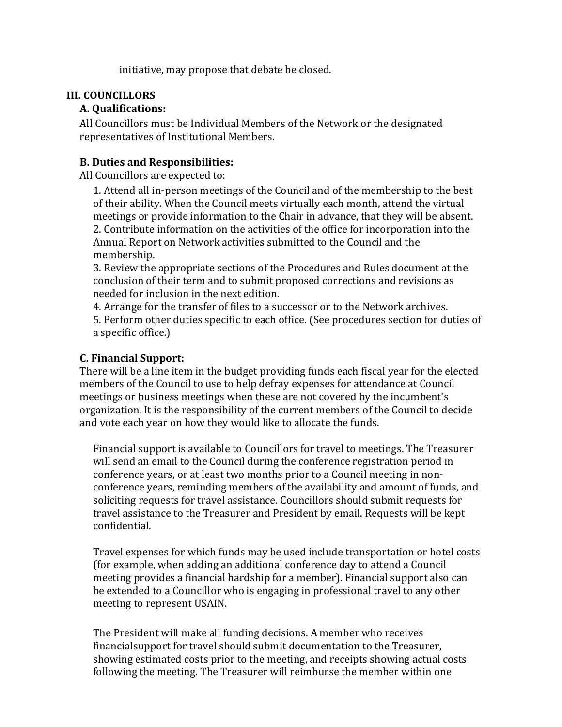initiative, may propose that debate be closed.

## **III. COUNCILLORS**

#### **A. Qualifications:**

All Councillors must be Individual Members of the Network or the designated representatives of Institutional Members.

## **B. Duties and Responsibilities:**

All Councillors are expected to:

1. Attend all in-person meetings of the Council and of the membership to the best of their ability. When the Council meets virtually each month, attend the virtual meetings or provide information to the Chair in advance, that they will be absent. 2. Contribute information on the activities of the office for incorporation into the Annual Report on Network activities submitted to the Council and the membership.

3. Review the appropriate sections of the Procedures and Rules document at the conclusion of their term and to submit proposed corrections and revisions as needed for inclusion in the next edition.

4. Arrange for the transfer of files to a successor or to the Network archives. 5. Perform other duties specific to each office. (See procedures section for duties of a specific office.)

## **C. Financial Support:**

There will be a line item in the budget providing funds each fiscal year for the elected members of the Council to use to help defray expenses for attendance at Council meetings or business meetings when these are not covered by the incumbent's organization. It is the responsibility of the current members of the Council to decide and vote each year on how they would like to allocate the funds.

Financial support is available to Councillors for travel to meetings. The Treasurer will send an email to the Council during the conference registration period in conference years, or at least two months prior to a Council meeting in nonconference years, reminding members of the availability and amount of funds, and soliciting requests for travel assistance. Councillors should submit requests for travel assistance to the Treasurer and President by email. Requests will be kept confidential.

Travel expenses for which funds may be used include transportation or hotel costs (for example, when adding an additional conference day to attend a Council meeting provides a financial hardship for a member). Financial support also can be extended to a Councillor who is engaging in professional travel to any other meeting to represent USAIN.

The President will make all funding decisions. A member who receives financialsupport for travel should submit documentation to the Treasurer, showing estimated costs prior to the meeting, and receipts showing actual costs following the meeting. The Treasurer will reimburse the member within one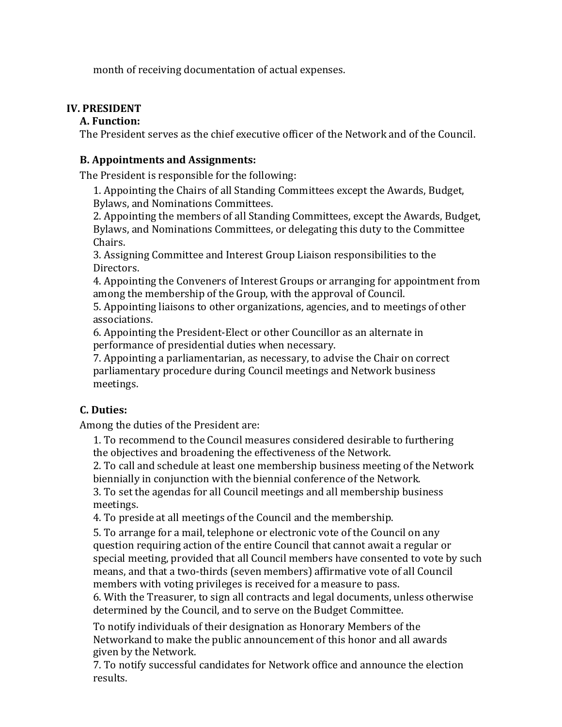month of receiving documentation of actual expenses.

# **IV. PRESIDENT**

## **A. Function:**

The President serves as the chief executive officer of the Network and of the Council.

## **B.** Appointments and Assignments:

The President is responsible for the following:

1. Appointing the Chairs of all Standing Committees except the Awards, Budget, Bylaws, and Nominations Committees.

2. Appointing the members of all Standing Committees, except the Awards, Budget, Bylaws, and Nominations Committees, or delegating this duty to the Committee Chairs.

3. Assigning Committee and Interest Group Liaison responsibilities to the Directors.

4. Appointing the Conveners of Interest Groups or arranging for appointment from among the membership of the Group, with the approval of Council.

5. Appointing liaisons to other organizations, agencies, and to meetings of other associations.

6. Appointing the President-Elect or other Councillor as an alternate in performance of presidential duties when necessary.

7. Appointing a parliamentarian, as necessary, to advise the Chair on correct parliamentary procedure during Council meetings and Network business meetings.

# **C. Duties:**

Among the duties of the President are:

1. To recommend to the Council measures considered desirable to furthering the objectives and broadening the effectiveness of the Network.

2. To call and schedule at least one membership business meeting of the Network biennially in conjunction with the biennial conference of the Network.

3. To set the agendas for all Council meetings and all membership business meetings.

4. To preside at all meetings of the Council and the membership.

5. To arrange for a mail, telephone or electronic vote of the Council on any question requiring action of the entire Council that cannot await a regular or special meeting, provided that all Council members have consented to vote by such means, and that a two-thirds (seven members) affirmative vote of all Council members with voting privileges is received for a measure to pass.

6. With the Treasurer, to sign all contracts and legal documents, unless otherwise determined by the Council, and to serve on the Budget Committee.

To notify individuals of their designation as Honorary Members of the Networkand to make the public announcement of this honor and all awards given by the Network.

7. To notify successful candidates for Network office and announce the election results.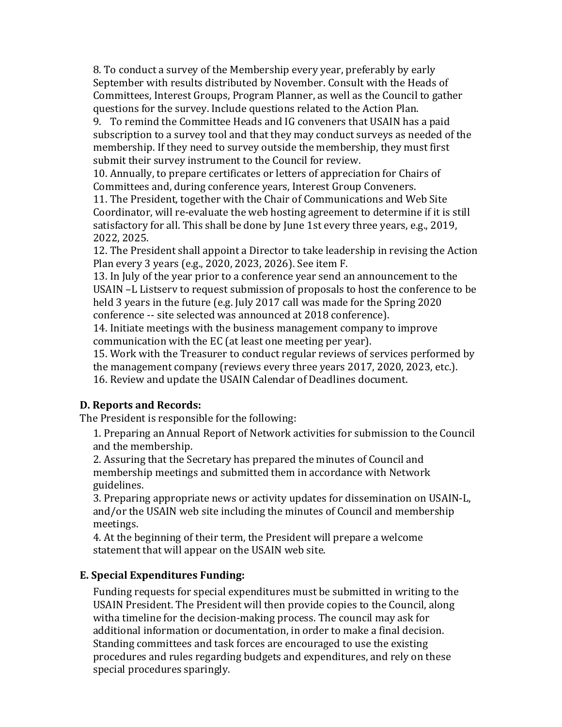8. To conduct a survey of the Membership every year, preferably by early September with results distributed by November. Consult with the Heads of Committees, Interest Groups, Program Planner, as well as the Council to gather questions for the survey. Include questions related to the Action Plan.

9. To remind the Committee Heads and IG conveners that USAIN has a paid subscription to a survey tool and that they may conduct surveys as needed of the membership. If they need to survey outside the membership, they must first submit their survey instrument to the Council for review.

10. Annually, to prepare certificates or letters of appreciation for Chairs of Committees and, during conference years, Interest Group Conveners.

11. The President, together with the Chair of Communications and Web Site Coordinator, will re-evaluate the web hosting agreement to determine if it is still satisfactory for all. This shall be done by June 1st every three years, e.g., 2019, 2022, 2025.

12. The President shall appoint a Director to take leadership in revising the Action Plan every 3 years (e.g., 2020, 2023, 2026). See item F.

13. In July of the year prior to a conference year send an announcement to the USAIN -L Listserv to request submission of proposals to host the conference to be held 3 years in the future (e.g. July 2017 call was made for the Spring 2020 conference -- site selected was announced at 2018 conference).

14. Initiate meetings with the business management company to improve communication with the EC (at least one meeting per year).

15. Work with the Treasurer to conduct regular reviews of services performed by the management company (reviews every three years 2017, 2020, 2023, etc.). 16. Review and update the USAIN Calendar of Deadlines document.

# **D. Reports and Records:**

The President is responsible for the following:

1. Preparing an Annual Report of Network activities for submission to the Council and the membership.

2. Assuring that the Secretary has prepared the minutes of Council and membership meetings and submitted them in accordance with Network guidelines.

3. Preparing appropriate news or activity updates for dissemination on USAIN-L, and/or the USAIN web site including the minutes of Council and membership meetings.

4. At the beginning of their term, the President will prepare a welcome statement that will appear on the USAIN web site.

# **E. Special Expenditures Funding:**

Funding requests for special expenditures must be submitted in writing to the USAIN President. The President will then provide copies to the Council, along witha timeline for the decision-making process. The council may ask for additional information or documentation, in order to make a final decision. Standing committees and task forces are encouraged to use the existing procedures and rules regarding budgets and expenditures, and rely on these special procedures sparingly.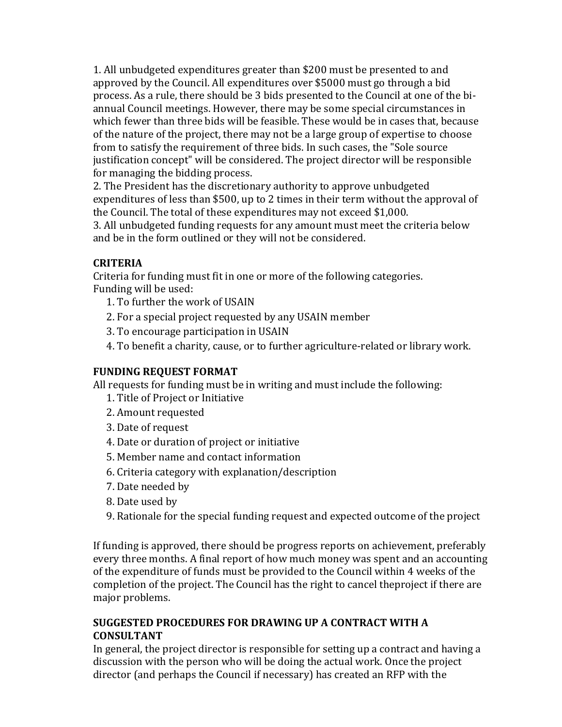1. All unbudgeted expenditures greater than \$200 must be presented to and approved by the Council. All expenditures over \$5000 must go through a bid process. As a rule, there should be 3 bids presented to the Council at one of the biannual Council meetings. However, there may be some special circumstances in which fewer than three bids will be feasible. These would be in cases that, because of the nature of the project, there may not be a large group of expertise to choose from to satisfy the requirement of three bids. In such cases, the "Sole source justification concept" will be considered. The project director will be responsible for managing the bidding process.

2. The President has the discretionary authority to approve unbudgeted expenditures of less than \$500, up to 2 times in their term without the approval of the Council. The total of these expenditures may not exceed \$1,000.

3. All unbudgeted funding requests for any amount must meet the criteria below and be in the form outlined or they will not be considered.

# **CRITERIA**

Criteria for funding must fit in one or more of the following categories. Funding will be used:

- 1. To further the work of USAIN
- 2. For a special project requested by any USAIN member
- 3. To encourage participation in USAIN
- 4. To benefit a charity, cause, or to further agriculture-related or library work.

# **FUNDING REQUEST FORMAT**

All requests for funding must be in writing and must include the following:

- 1. Title of Project or Initiative
- 2. Amount requested
- 3. Date of request
- 4. Date or duration of project or initiative
- 5. Member name and contact information
- 6. Criteria category with explanation/description
- 7. Date needed by
- 8. Date used by
- 9. Rationale for the special funding request and expected outcome of the project

If funding is approved, there should be progress reports on achievement, preferably every three months. A final report of how much money was spent and an accounting of the expenditure of funds must be provided to the Council within 4 weeks of the completion of the project. The Council has the right to cancel theproject if there are major problems.

## **SUGGESTED PROCEDURES FOR DRAWING UP A CONTRACT WITH A CONSULTANT**

In general, the project director is responsible for setting up a contract and having a discussion with the person who will be doing the actual work. Once the project director (and perhaps the Council if necessary) has created an RFP with the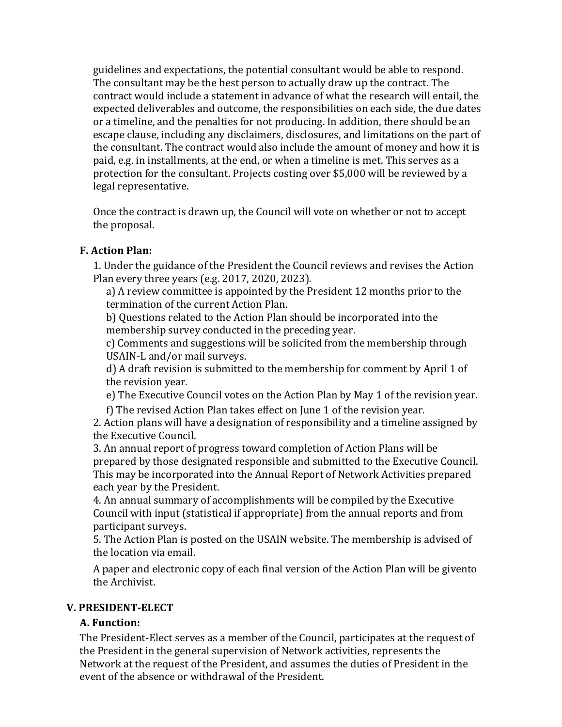guidelines and expectations, the potential consultant would be able to respond. The consultant may be the best person to actually draw up the contract. The contract would include a statement in advance of what the research will entail, the expected deliverables and outcome, the responsibilities on each side, the due dates or a timeline, and the penalties for not producing. In addition, there should be an escape clause, including any disclaimers, disclosures, and limitations on the part of the consultant. The contract would also include the amount of money and how it is paid, e.g. in installments, at the end, or when a timeline is met. This serves as a protection for the consultant. Projects costing over \$5,000 will be reviewed by a legal representative.

Once the contract is drawn up, the Council will vote on whether or not to accept the proposal.

# **F. Action Plan:**

1. Under the guidance of the President the Council reviews and revises the Action Plan every three years (e.g. 2017, 2020, 2023).

a) A review committee is appointed by the President 12 months prior to the termination of the current Action Plan.

b) Ouestions related to the Action Plan should be incorporated into the membership survey conducted in the preceding year.

c) Comments and suggestions will be solicited from the membership through USAIN-L and/or mail surveys.

d) A draft revision is submitted to the membership for comment by April 1 of the revision year.

e) The Executive Council votes on the Action Plan by May 1 of the revision year.

f) The revised Action Plan takes effect on June 1 of the revision year.

2. Action plans will have a designation of responsibility and a timeline assigned by the Executive Council.

3. An annual report of progress toward completion of Action Plans will be prepared by those designated responsible and submitted to the Executive Council. This may be incorporated into the Annual Report of Network Activities prepared each year by the President.

4. An annual summary of accomplishments will be compiled by the Executive Council with input (statistical if appropriate) from the annual reports and from participant surveys.

5. The Action Plan is posted on the USAIN website. The membership is advised of the location via email.

A paper and electronic copy of each final version of the Action Plan will be givento the Archivist.

#### **V. PRESIDENT-ELECT**

# **A. Function:**

The President-Elect serves as a member of the Council, participates at the request of the President in the general supervision of Network activities, represents the Network at the request of the President, and assumes the duties of President in the event of the absence or withdrawal of the President.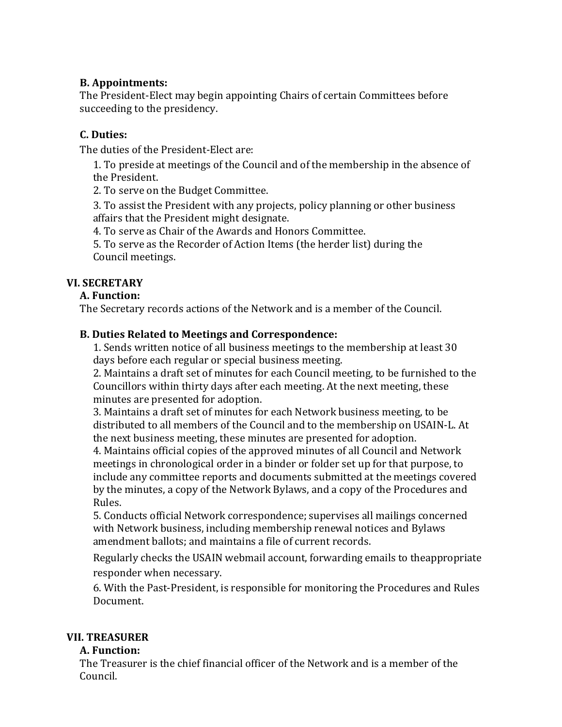## **B. Appointments:**

The President-Elect may begin appointing Chairs of certain Committees before succeeding to the presidency.

# **C. Duties:**

The duties of the President-Elect are:

1. To preside at meetings of the Council and of the membership in the absence of the President.

2. To serve on the Budget Committee.

3. To assist the President with any projects, policy planning or other business affairs that the President might designate.

4. To serve as Chair of the Awards and Honors Committee.

5. To serve as the Recorder of Action Items (the herder list) during the Council meetings.

# **VI. SECRETARY**

## **A. Function:**

The Secretary records actions of the Network and is a member of the Council.

## **B. Duties Related to Meetings and Correspondence:**

1. Sends written notice of all business meetings to the membership at least 30 days before each regular or special business meeting.

2. Maintains a draft set of minutes for each Council meeting, to be furnished to the Councillors within thirty days after each meeting. At the next meeting, these minutes are presented for adoption.

3. Maintains a draft set of minutes for each Network business meeting, to be distributed to all members of the Council and to the membership on USAIN-L. At the next business meeting, these minutes are presented for adoption.

4. Maintains official copies of the approved minutes of all Council and Network meetings in chronological order in a binder or folder set up for that purpose, to include any committee reports and documents submitted at the meetings covered by the minutes, a copy of the Network Bylaws, and a copy of the Procedures and Rules.

5. Conducts official Network correspondence; supervises all mailings concerned with Network business, including membership renewal notices and Bylaws amendment ballots: and maintains a file of current records.

Regularly checks the USAIN webmail account, forwarding emails to theappropriate responder when necessary.

6. With the Past-President, is responsible for monitoring the Procedures and Rules Document.

#### **VII. TREASURER**

#### **A. Function:**

The Treasurer is the chief financial officer of the Network and is a member of the Council.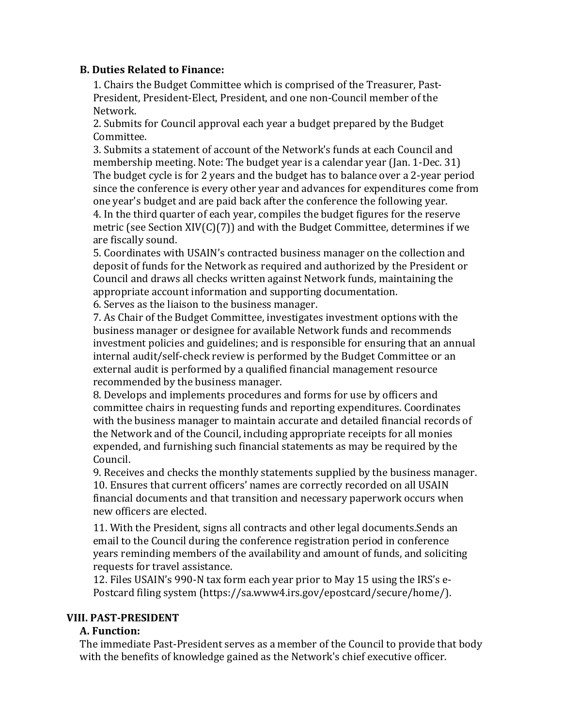#### **B. Duties Related to Finance:**

1. Chairs the Budget Committee which is comprised of the Treasurer, Past-President, President-Elect, President, and one non-Council member of the Network.

2. Submits for Council approval each year a budget prepared by the Budget Committee.

3. Submits a statement of account of the Network's funds at each Council and membership meeting. Note: The budget year is a calendar year (Jan. 1-Dec. 31) The budget cycle is for 2 years and the budget has to balance over a 2-year period since the conference is every other year and advances for expenditures come from one year's budget and are paid back after the conference the following year. 4. In the third quarter of each year, compiles the budget figures for the reserve metric (see Section XIV(C)(7)) and with the Budget Committee, determines if we are fiscally sound.

5. Coordinates with USAIN's contracted business manager on the collection and deposit of funds for the Network as required and authorized by the President or Council and draws all checks written against Network funds, maintaining the appropriate account information and supporting documentation.

6. Serves as the liaison to the business manager.

7. As Chair of the Budget Committee, investigates investment options with the business manager or designee for available Network funds and recommends investment policies and guidelines; and is responsible for ensuring that an annual internal audit/self-check review is performed by the Budget Committee or an external audit is performed by a qualified financial management resource recommended by the business manager.

8. Develops and implements procedures and forms for use by officers and committee chairs in requesting funds and reporting expenditures. Coordinates with the business manager to maintain accurate and detailed financial records of the Network and of the Council, including appropriate receipts for all monies expended, and furnishing such financial statements as may be required by the Council.

9. Receives and checks the monthly statements supplied by the business manager. 10. Ensures that current officers' names are correctly recorded on all USAIN financial documents and that transition and necessary paperwork occurs when new officers are elected.

11. With the President, signs all contracts and other legal documents.Sends an email to the Council during the conference registration period in conference years reminding members of the availability and amount of funds, and soliciting requests for travel assistance.

12. Files USAIN's 990-N tax form each year prior to May 15 using the IRS's e-Postcard filing system (https://sa.www4.irs.gov/epostcard/secure/home/).

#### **VIII. PAST-PRESIDENT**

#### **A. Function:**

The immediate Past-President serves as a member of the Council to provide that body with the benefits of knowledge gained as the Network's chief executive officer.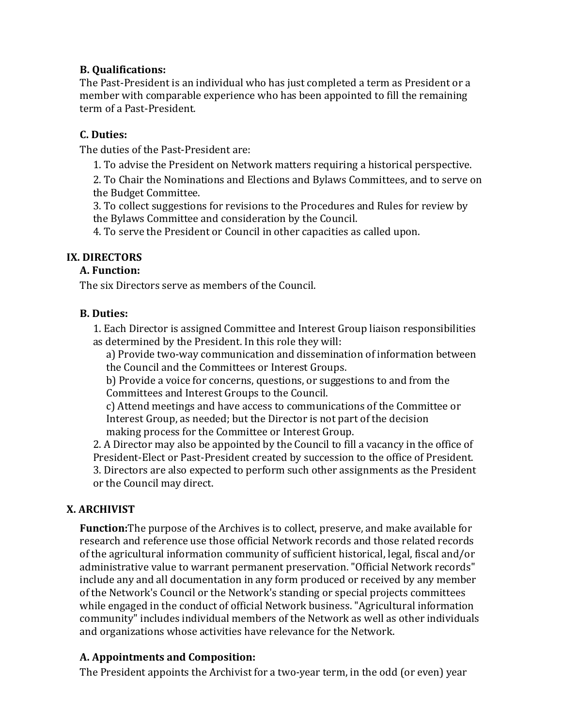## **B. Qualifications:**

The Past-President is an individual who has just completed a term as President or a member with comparable experience who has been appointed to fill the remaining term of a Past-President.

#### **C. Duties:**

The duties of the Past-President are:

1. To advise the President on Network matters requiring a historical perspective.

2. To Chair the Nominations and Elections and Bylaws Committees, and to serve on the Budget Committee.

3. To collect suggestions for revisions to the Procedures and Rules for review by the Bylaws Committee and consideration by the Council.

4. To serve the President or Council in other capacities as called upon.

# **IX. DIRECTORS**

#### **A. Function:**

The six Directors serve as members of the Council.

#### **B. Duties:**

1. Each Director is assigned Committee and Interest Group liaison responsibilities as determined by the President. In this role they will:

a) Provide two-way communication and dissemination of information between the Council and the Committees or Interest Groups.

b) Provide a voice for concerns, questions, or suggestions to and from the Committees and Interest Groups to the Council.

c) Attend meetings and have access to communications of the Committee or Interest Group, as needed; but the Director is not part of the decision making process for the Committee or Interest Group.

2. A Director may also be appointed by the Council to fill a vacancy in the office of President-Elect or Past-President created by succession to the office of President. 3. Directors are also expected to perform such other assignments as the President or the Council may direct.

# **X. ARCHIVIST**

**Function:** The purpose of the Archives is to collect, preserve, and make available for research and reference use those official Network records and those related records of the agricultural information community of sufficient historical, legal, fiscal and/or administrative value to warrant permanent preservation. "Official Network records" include any and all documentation in any form produced or received by any member of the Network's Council or the Network's standing or special projects committees while engaged in the conduct of official Network business. "Agricultural information community" includes individual members of the Network as well as other individuals and organizations whose activities have relevance for the Network.

# **A. Appointments and Composition:**

The President appoints the Archivist for a two-year term, in the odd (or even) year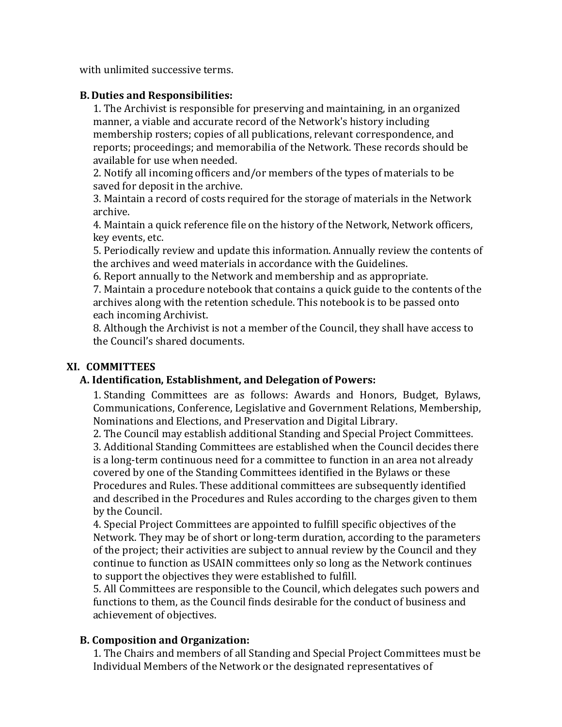with unlimited successive terms.

#### **B. Duties and Responsibilities:**

1. The Archivist is responsible for preserving and maintaining, in an organized manner, a viable and accurate record of the Network's history including membership rosters; copies of all publications, relevant correspondence, and reports; proceedings; and memorabilia of the Network. These records should be available for use when needed.

2. Notify all incoming officers and/or members of the types of materials to be saved for deposit in the archive.

3. Maintain a record of costs required for the storage of materials in the Network archive.

4. Maintain a quick reference file on the history of the Network, Network officers, key events, etc.

5. Periodically review and update this information. Annually review the contents of the archives and weed materials in accordance with the Guidelines.

6. Report annually to the Network and membership and as appropriate.

7. Maintain a procedure notebook that contains a quick guide to the contents of the archives along with the retention schedule. This notebook is to be passed onto each incoming Archivist.

8. Although the Archivist is not a member of the Council, they shall have access to the Council's shared documents.

## **XI. COMMITTEES**

#### **A. Identification, Establishment, and Delegation of Powers:**

1. Standing Committees are as follows: Awards and Honors, Budget, Bylaws, Communications, Conference, Legislative and Government Relations, Membership, Nominations and Elections, and Preservation and Digital Library.

2. The Council may establish additional Standing and Special Project Committees. 3. Additional Standing Committees are established when the Council decides there is a long-term continuous need for a committee to function in an area not already covered by one of the Standing Committees identified in the Bylaws or these Procedures and Rules. These additional committees are subsequently identified and described in the Procedures and Rules according to the charges given to them by the Council.

4. Special Project Committees are appointed to fulfill specific objectives of the Network. They may be of short or long-term duration, according to the parameters of the project; their activities are subject to annual review by the Council and they continue to function as USAIN committees only so long as the Network continues to support the objectives they were established to fulfill.

5. All Committees are responsible to the Council, which delegates such powers and functions to them, as the Council finds desirable for the conduct of business and achievement of objectives.

#### **B. Composition and Organization:**

1. The Chairs and members of all Standing and Special Project Committees must be Individual Members of the Network or the designated representatives of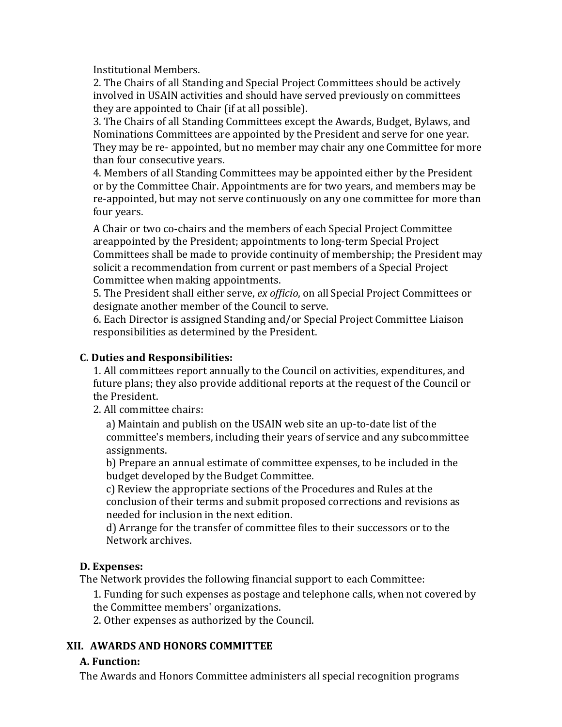Institutional Members.

2. The Chairs of all Standing and Special Project Committees should be actively involved in USAIN activities and should have served previously on committees they are appointed to Chair (if at all possible).

3. The Chairs of all Standing Committees except the Awards, Budget, Bylaws, and Nominations Committees are appointed by the President and serve for one year. They may be re- appointed, but no member may chair any one Committee for more than four consecutive years.

4. Members of all Standing Committees may be appointed either by the President or by the Committee Chair. Appointments are for two years, and members may be re-appointed, but may not serve continuously on any one committee for more than four years.

A Chair or two co-chairs and the members of each Special Project Committee areappointed by the President; appointments to long-term Special Project Committees shall be made to provide continuity of membership; the President may solicit a recommendation from current or past members of a Special Project Committee when making appointments.

5. The President shall either serve, *ex officio*, on all Special Project Committees or designate another member of the Council to serve.

6. Each Director is assigned Standing and/or Special Project Committee Liaison responsibilities as determined by the President.

# **C. Duties and Responsibilities:**

1. All committees report annually to the Council on activities, expenditures, and future plans; they also provide additional reports at the request of the Council or the President.

2. All committee chairs:

a) Maintain and publish on the USAIN web site an up-to-date list of the committee's members, including their years of service and any subcommittee assignments.

b) Prepare an annual estimate of committee expenses, to be included in the budget developed by the Budget Committee.

c) Review the appropriate sections of the Procedures and Rules at the conclusion of their terms and submit proposed corrections and revisions as needed for inclusion in the next edition.

d) Arrange for the transfer of committee files to their successors or to the Network archives.

# **D. Expenses:**

The Network provides the following financial support to each Committee:

1. Funding for such expenses as postage and telephone calls, when not covered by the Committee members' organizations.

2. Other expenses as authorized by the Council.

# **XII. AWARDS AND HONORS COMMITTEE**

# **A. Function:**

The Awards and Honors Committee administers all special recognition programs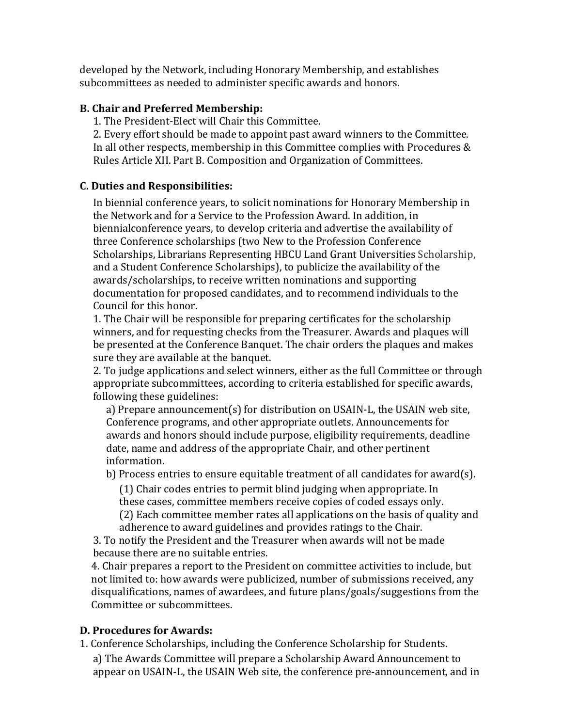developed by the Network, including Honorary Membership, and establishes subcommittees as needed to administer specific awards and honors.

#### **B. Chair and Preferred Membership:**

1. The President-Elect will Chair this Committee.

2. Every effort should be made to appoint past award winners to the Committee. In all other respects, membership in this Committee complies with Procedures  $&$ Rules Article XII. Part B. Composition and Organization of Committees.

## **C. Duties and Responsibilities:**

In biennial conference years, to solicit nominations for Honorary Membership in the Network and for a Service to the Profession Award. In addition, in biennialconference years, to develop criteria and advertise the availability of three Conference scholarships (two New to the Profession Conference Scholarships, Librarians Representing HBCU Land Grant Universities Scholarship, and a Student Conference Scholarships), to publicize the availability of the awards/scholarships, to receive written nominations and supporting documentation for proposed candidates, and to recommend individuals to the Council for this honor.

1. The Chair will be responsible for preparing certificates for the scholarship winners, and for requesting checks from the Treasurer. Awards and plaques will be presented at the Conference Banquet. The chair orders the plaques and makes sure they are available at the banquet.

2. To judge applications and select winners, either as the full Committee or through appropriate subcommittees, according to criteria established for specific awards, following these guidelines:

a) Prepare announcement(s) for distribution on USAIN-L, the USAIN web site, Conference programs, and other appropriate outlets. Announcements for awards and honors should include purpose, eligibility requirements, deadline date, name and address of the appropriate Chair, and other pertinent information.

b) Process entries to ensure equitable treatment of all candidates for award(s).

 $(1)$  Chair codes entries to permit blind judging when appropriate. In these cases, committee members receive copies of coded essays only. (2) Each committee member rates all applications on the basis of quality and adherence to award guidelines and provides ratings to the Chair.

3. To notify the President and the Treasurer when awards will not be made because there are no suitable entries.

4. Chair prepares a report to the President on committee activities to include, but not limited to: how awards were publicized, number of submissions received, any disqualifications, names of awardees, and future plans/goals/suggestions from the Committee or subcommittees.

#### **D.** Procedures for Awards:

1. Conference Scholarships, including the Conference Scholarship for Students.

a) The Awards Committee will prepare a Scholarship Award Announcement to appear on USAIN-L, the USAIN Web site, the conference pre-announcement, and in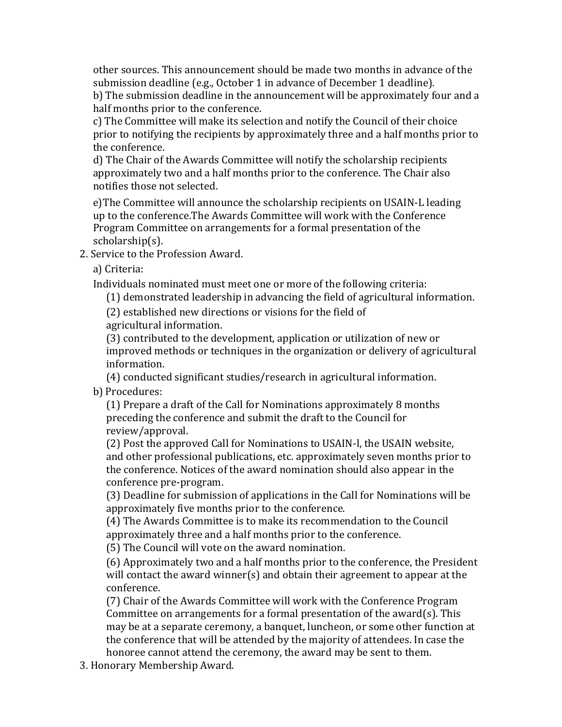other sources. This announcement should be made two months in advance of the submission deadline (e.g., October 1 in advance of December 1 deadline).

b) The submission deadline in the announcement will be approximately four and a half months prior to the conference.

c) The Committee will make its selection and notify the Council of their choice prior to notifying the recipients by approximately three and a half months prior to the conference.

d) The Chair of the Awards Committee will notify the scholarship recipients approximately two and a half months prior to the conference. The Chair also notifies those not selected.

e) The Committee will announce the scholarship recipients on USAIN-L leading up to the conference.The Awards Committee will work with the Conference Program Committee on arrangements for a formal presentation of the scholarship(s).

2. Service to the Profession Award.

a) Criteria:

Individuals nominated must meet one or more of the following criteria:

(1) demonstrated leadership in advancing the field of agricultural information.

(2) established new directions or visions for the field of agricultural information.

(3) contributed to the development, application or utilization of new or improved methods or techniques in the organization or delivery of agricultural information.

(4) conducted significant studies/research in agricultural information.

b) Procedures:

(1) Prepare a draft of the Call for Nominations approximately 8 months preceding the conference and submit the draft to the Council for review/approval.

(2) Post the approved Call for Nominations to USAIN-l, the USAIN website, and other professional publications, etc. approximately seven months prior to the conference. Notices of the award nomination should also appear in the conference pre-program.

(3) Deadline for submission of applications in the Call for Nominations will be approximately five months prior to the conference.

(4) The Awards Committee is to make its recommendation to the Council approximately three and a half months prior to the conference.

(5) The Council will vote on the award nomination.

(6) Approximately two and a half months prior to the conference, the President will contact the award winner(s) and obtain their agreement to appear at the conference.

(7) Chair of the Awards Committee will work with the Conference Program Committee on arrangements for a formal presentation of the award(s). This may be at a separate ceremony, a banquet, luncheon, or some other function at the conference that will be attended by the majority of attendees. In case the honoree cannot attend the ceremony, the award may be sent to them.

3. Honorary Membership Award.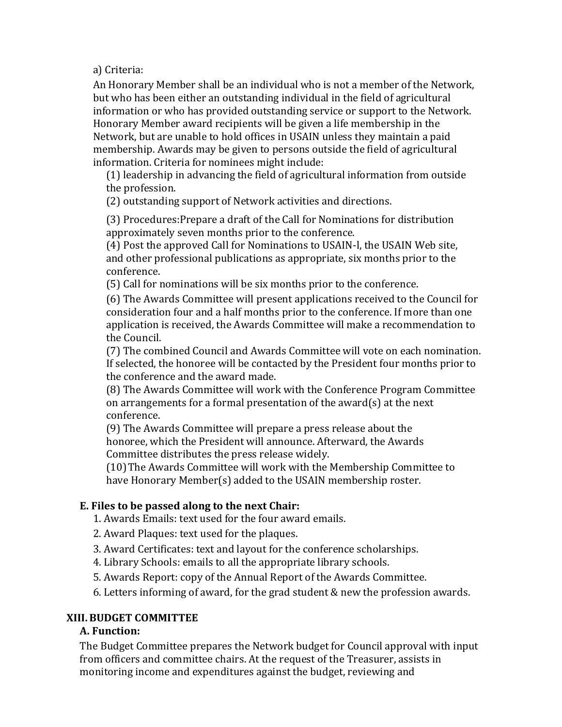a) Criteria:

An Honorary Member shall be an individual who is not a member of the Network, but who has been either an outstanding individual in the field of agricultural information or who has provided outstanding service or support to the Network. Honorary Member award recipients will be given a life membership in the Network, but are unable to hold offices in USAIN unless they maintain a paid membership. Awards may be given to persons outside the field of agricultural information. Criteria for nominees might include:

(1) leadership in advancing the field of agricultural information from outside the profession.

(2) outstanding support of Network activities and directions.

(3) Procedures: Prepare a draft of the Call for Nominations for distribution approximately seven months prior to the conference.

(4) Post the approved Call for Nominations to USAIN-l, the USAIN Web site, and other professional publications as appropriate, six months prior to the conference.

(5) Call for nominations will be six months prior to the conference.

(6) The Awards Committee will present applications received to the Council for consideration four and a half months prior to the conference. If more than one application is received, the Awards Committee will make a recommendation to the Council.

(7) The combined Council and Awards Committee will vote on each nomination. If selected, the honoree will be contacted by the President four months prior to the conference and the award made.

(8) The Awards Committee will work with the Conference Program Committee on arrangements for a formal presentation of the award(s) at the next conference.

(9) The Awards Committee will prepare a press release about the honoree, which the President will announce. Afterward, the Awards Committee distributes the press release widely.

(10) The Awards Committee will work with the Membership Committee to have Honorary Member(s) added to the USAIN membership roster.

# **E.** Files to be passed along to the next Chair:

1. Awards Emails: text used for the four award emails.

- 2. Award Plaques: text used for the plaques.
- 3. Award Certificates: text and layout for the conference scholarships.
- 4. Library Schools: emails to all the appropriate library schools.
- 5. Awards Report: copy of the Annual Report of the Awards Committee.

6. Letters informing of award, for the grad student  $&$  new the profession awards.

# **XIII.BUDGET COMMITTEE**

## **A. Function:**

The Budget Committee prepares the Network budget for Council approval with input from officers and committee chairs. At the request of the Treasurer, assists in monitoring income and expenditures against the budget, reviewing and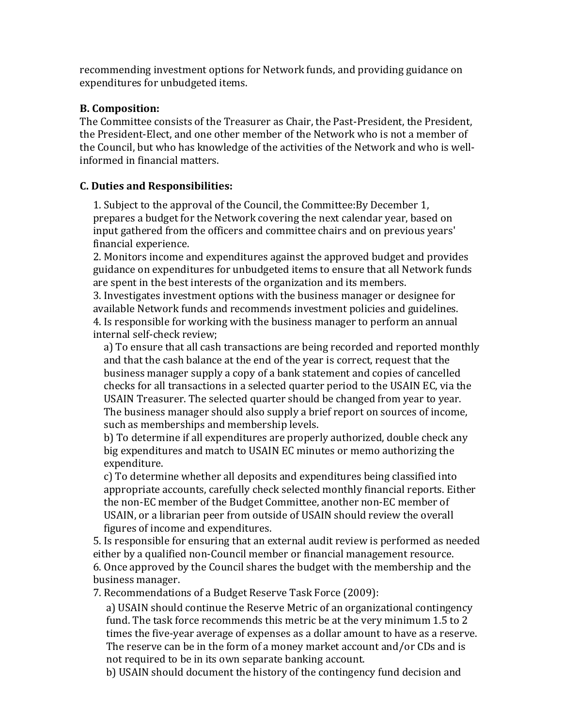recommending investment options for Network funds, and providing guidance on expenditures for unbudgeted items.

#### **B. Composition:**

The Committee consists of the Treasurer as Chair, the Past-President, the President, the President-Elect, and one other member of the Network who is not a member of the Council, but who has knowledge of the activities of the Network and who is wellinformed in financial matters.

#### **C. Duties and Responsibilities:**

1. Subject to the approval of the Council, the Committee: By December 1, prepares a budget for the Network covering the next calendar year, based on input gathered from the officers and committee chairs and on previous years' financial experience.

2. Monitors income and expenditures against the approved budget and provides guidance on expenditures for unbudgeted items to ensure that all Network funds are spent in the best interests of the organization and its members.

3. Investigates investment options with the business manager or designee for available Network funds and recommends investment policies and guidelines. 4. Is responsible for working with the business manager to perform an annual internal self-check review;

a) To ensure that all cash transactions are being recorded and reported monthly and that the cash balance at the end of the year is correct, request that the business manager supply a copy of a bank statement and copies of cancelled checks for all transactions in a selected quarter period to the USAIN EC, via the USAIN Treasurer. The selected quarter should be changed from year to year. The business manager should also supply a brief report on sources of income, such as memberships and membership levels.

b) To determine if all expenditures are properly authorized, double check any big expenditures and match to USAIN EC minutes or memo authorizing the expenditure.

c) To determine whether all deposits and expenditures being classified into appropriate accounts, carefully check selected monthly financial reports. Either the non-EC member of the Budget Committee, another non-EC member of USAIN, or a librarian peer from outside of USAIN should review the overall figures of income and expenditures.

5. Is responsible for ensuring that an external audit review is performed as needed either by a qualified non-Council member or financial management resource. 6. Once approved by the Council shares the budget with the membership and the business manager.

7. Recommendations of a Budget Reserve Task Force (2009):

a) USAIN should continue the Reserve Metric of an organizational contingency fund. The task force recommends this metric be at the very minimum 1.5 to 2 times the five-year average of expenses as a dollar amount to have as a reserve. The reserve can be in the form of a money market account and/or CDs and is not required to be in its own separate banking account.

b) USAIN should document the history of the contingency fund decision and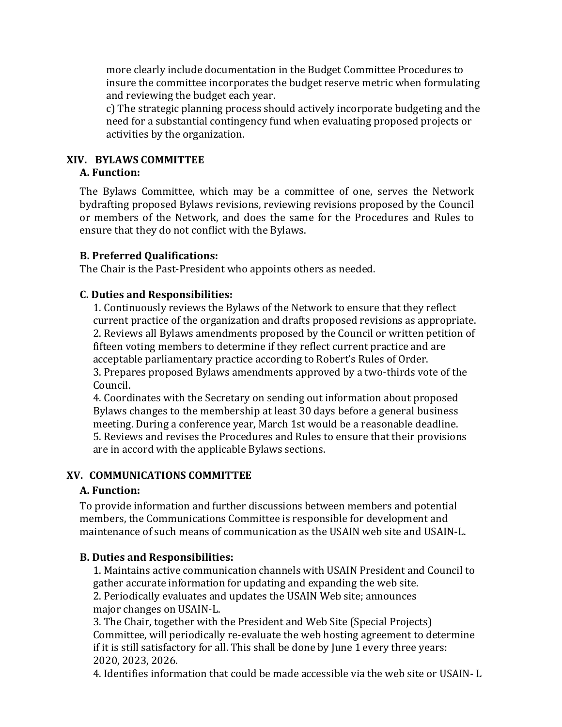more clearly include documentation in the Budget Committee Procedures to insure the committee incorporates the budget reserve metric when formulating and reviewing the budget each year.

c) The strategic planning process should actively incorporate budgeting and the need for a substantial contingency fund when evaluating proposed projects or activities by the organization.

#### **XIV. BYLAWS COMMITTEE**

#### **A. Function:**

The Bylaws Committee, which may be a committee of one, serves the Network bydrafting proposed Bylaws revisions, reviewing revisions proposed by the Council or members of the Network, and does the same for the Procedures and Rules to ensure that they do not conflict with the Bylaws.

#### **B. Preferred Qualifications:**

The Chair is the Past-President who appoints others as needed.

#### **C. Duties and Responsibilities:**

1. Continuously reviews the Bylaws of the Network to ensure that they reflect current practice of the organization and drafts proposed revisions as appropriate. 2. Reviews all Bylaws amendments proposed by the Council or written petition of fifteen voting members to determine if they reflect current practice and are acceptable parliamentary practice according to Robert's Rules of Order. 3. Prepares proposed Bylaws amendments approved by a two-thirds vote of the Council.

4. Coordinates with the Secretary on sending out information about proposed Bylaws changes to the membership at least 30 days before a general business meeting. During a conference year, March 1st would be a reasonable deadline. 5. Reviews and revises the Procedures and Rules to ensure that their provisions are in accord with the applicable Bylaws sections.

#### **XV. COMMUNICATIONS COMMITTEE**

#### **A. Function:**

To provide information and further discussions between members and potential members, the Communications Committee is responsible for development and maintenance of such means of communication as the USAIN web site and USAIN-L.

#### **B. Duties and Responsibilities:**

1. Maintains active communication channels with USAIN President and Council to gather accurate information for updating and expanding the web site.

2. Periodically evaluates and updates the USAIN Web site; announces major changes on USAIN-L.

3. The Chair, together with the President and Web Site (Special Projects) Committee, will periodically re-evaluate the web hosting agreement to determine if it is still satisfactory for all. This shall be done by June 1 every three years: 2020, 2023, 2026.

4. Identifies information that could be made accessible via the web site or USAIN-L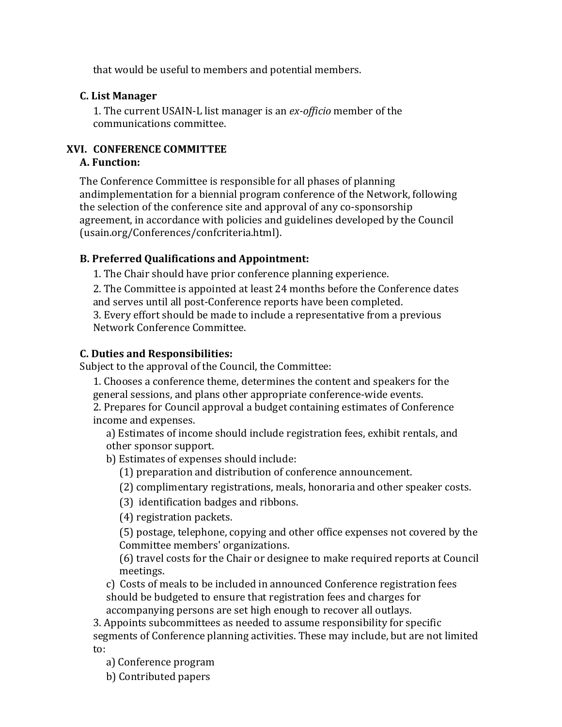that would be useful to members and potential members.

## **C. List Manager**

1. The current USAIN-L list manager is an *ex-officio* member of the communications committee.

# **XVI. CONFERENCE COMMITTEE**

# **A. Function:**

The Conference Committee is responsible for all phases of planning andimplementation for a biennial program conference of the Network, following the selection of the conference site and approval of any co-sponsorship agreement, in accordance with policies and guidelines developed by the Council (usain.org/Conferences/confcriteria.html).

## **B. Preferred Qualifications and Appointment:**

1. The Chair should have prior conference planning experience.

2. The Committee is appointed at least 24 months before the Conference dates and serves until all post-Conference reports have been completed.

3. Every effort should be made to include a representative from a previous Network Conference Committee.

# **C. Duties and Responsibilities:**

Subject to the approval of the Council, the Committee:

1. Chooses a conference theme, determines the content and speakers for the general sessions, and plans other appropriate conference-wide events.

2. Prepares for Council approval a budget containing estimates of Conference income and expenses.

a) Estimates of income should include registration fees, exhibit rentals, and other sponsor support.

b) Estimates of expenses should include:

(1) preparation and distribution of conference announcement.

(2) complimentary registrations, meals, honoraria and other speaker costs.

(3) identification badges and ribbons.

(4) registration packets.

(5) postage, telephone, copying and other office expenses not covered by the Committee members' organizations.

(6) travel costs for the Chair or designee to make required reports at Council meetings.

c) Costs of meals to be included in announced Conference registration fees should be budgeted to ensure that registration fees and charges for accompanying persons are set high enough to recover all outlays.

3. Appoints subcommittees as needed to assume responsibility for specific segments of Conference planning activities. These may include, but are not limited to:

a) Conference program

b) Contributed papers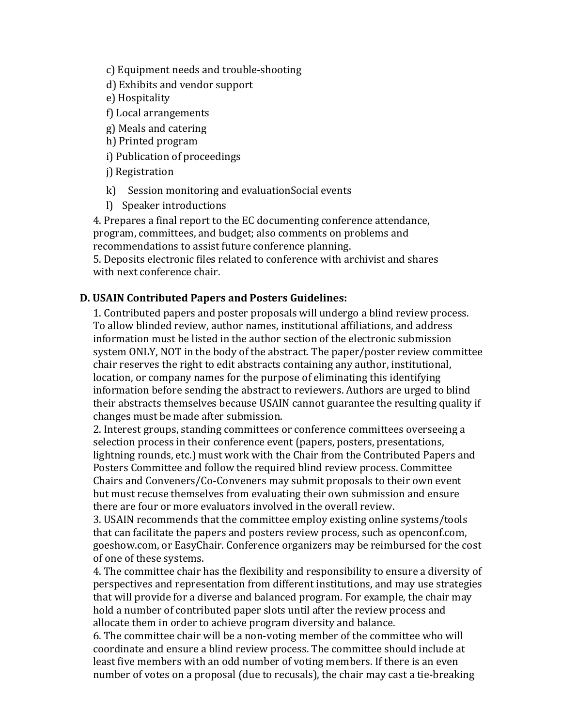c) Equipment needs and trouble-shooting

- d) Exhibits and vendor support
- e) Hospitality
- f) Local arrangements
- g) Meals and catering
- h) Printed program
- i) Publication of proceedings
- j) Registration
- k) Session monitoring and evaluationSocial events
- l) Speaker introductions

4. Prepares a final report to the EC documenting conference attendance, program, committees, and budget; also comments on problems and recommendations to assist future conference planning.

5. Deposits electronic files related to conference with archivist and shares with next conference chair.

## **D. USAIN Contributed Papers and Posters Guidelines:**

1. Contributed papers and poster proposals will undergo a blind review process. To allow blinded review, author names, institutional affiliations, and address information must be listed in the author section of the electronic submission system ONLY, NOT in the body of the abstract. The paper/poster review committee chair reserves the right to edit abstracts containing any author, institutional, location, or company names for the purpose of eliminating this identifying information before sending the abstract to reviewers. Authors are urged to blind their abstracts themselves because USAIN cannot guarantee the resulting quality if changes must be made after submission.

2. Interest groups, standing committees or conference committees overseeing a selection process in their conference event (papers, posters, presentations, lightning rounds, etc.) must work with the Chair from the Contributed Papers and Posters Committee and follow the required blind review process. Committee Chairs and Conveners/Co-Conveners may submit proposals to their own event but must recuse themselves from evaluating their own submission and ensure there are four or more evaluators involved in the overall review.

3. USAIN recommends that the committee employ existing online systems/tools that can facilitate the papers and posters review process, such as openconf.com, goeshow.com, or EasyChair. Conference organizers may be reimbursed for the cost of one of these systems.

4. The committee chair has the flexibility and responsibility to ensure a diversity of perspectives and representation from different institutions, and may use strategies that will provide for a diverse and balanced program. For example, the chair may hold a number of contributed paper slots until after the review process and allocate them in order to achieve program diversity and balance.

6. The committee chair will be a non-voting member of the committee who will coordinate and ensure a blind review process. The committee should include at least five members with an odd number of voting members. If there is an even number of votes on a proposal (due to recusals), the chair may cast a tie-breaking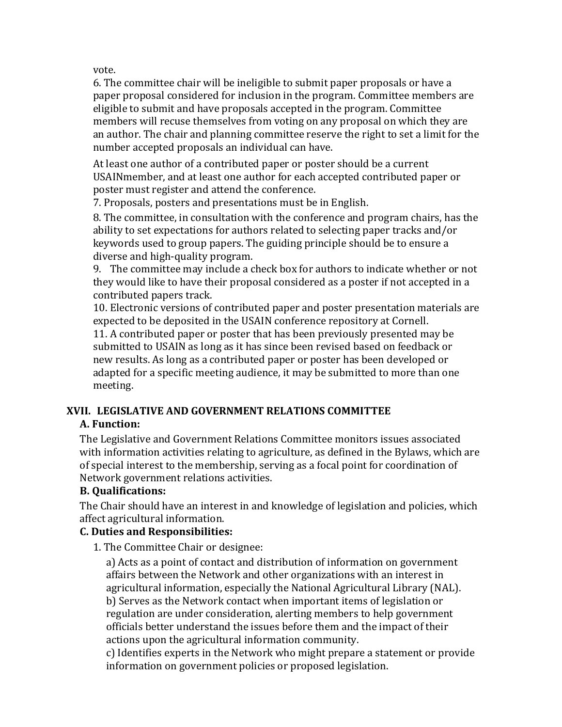vote.

6. The committee chair will be ineligible to submit paper proposals or have a paper proposal considered for inclusion in the program. Committee members are eligible to submit and have proposals accepted in the program. Committee members will recuse themselves from voting on any proposal on which they are an author. The chair and planning committee reserve the right to set a limit for the number accepted proposals an individual can have.

At least one author of a contributed paper or poster should be a current USAINmember, and at least one author for each accepted contributed paper or poster must register and attend the conference.

7. Proposals, posters and presentations must be in English.

8. The committee, in consultation with the conference and program chairs, has the ability to set expectations for authors related to selecting paper tracks and/or keywords used to group papers. The guiding principle should be to ensure a diverse and high-quality program.

9. The committee may include a check box for authors to indicate whether or not they would like to have their proposal considered as a poster if not accepted in a contributed papers track.

10. Electronic versions of contributed paper and poster presentation materials are expected to be deposited in the USAIN conference repository at Cornell.

11. A contributed paper or poster that has been previously presented may be submitted to USAIN as long as it has since been revised based on feedback or new results. As long as a contributed paper or poster has been developed or adapted for a specific meeting audience, it may be submitted to more than one meeting.

# **XVII. LEGISLATIVE AND GOVERNMENT RELATIONS COMMITTEE**

# **A. Function:**

The Legislative and Government Relations Committee monitors issues associated with information activities relating to agriculture, as defined in the Bylaws, which are of special interest to the membership, serving as a focal point for coordination of Network government relations activities.

# **B. Qualifications:**

The Chair should have an interest in and knowledge of legislation and policies, which affect agricultural information.

# **C. Duties and Responsibilities:**

1. The Committee Chair or designee:

a) Acts as a point of contact and distribution of information on government affairs between the Network and other organizations with an interest in agricultural information, especially the National Agricultural Library (NAL). b) Serves as the Network contact when important items of legislation or regulation are under consideration, alerting members to help government officials better understand the issues before them and the impact of their actions upon the agricultural information community.

c) Identifies experts in the Network who might prepare a statement or provide information on government policies or proposed legislation.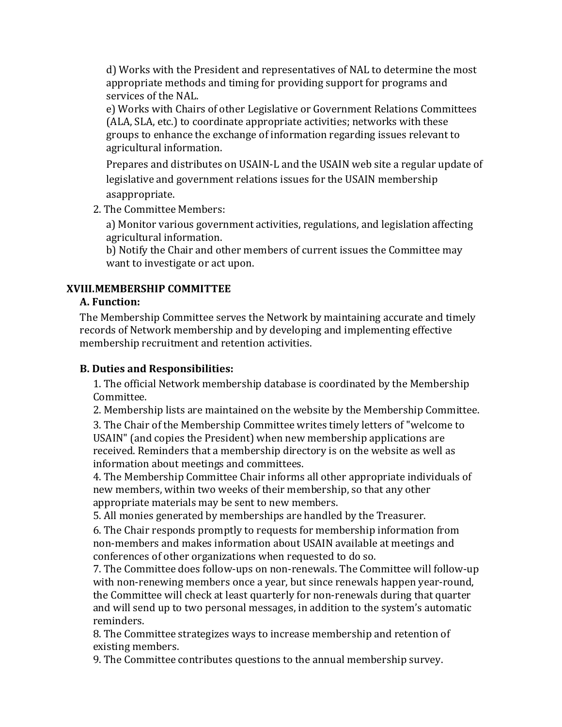d) Works with the President and representatives of NAL to determine the most appropriate methods and timing for providing support for programs and services of the NAL.

e) Works with Chairs of other Legislative or Government Relations Committees (ALA, SLA, etc.) to coordinate appropriate activities; networks with these groups to enhance the exchange of information regarding issues relevant to agricultural information.

Prepares and distributes on USAIN-L and the USAIN web site a regular update of legislative and government relations issues for the USAIN membership asappropriate.

2. The Committee Members:

a) Monitor various government activities, regulations, and legislation affecting agricultural information.

b) Notify the Chair and other members of current issues the Committee may want to investigate or act upon.

# **XVIII.MEMBERSHIP COMMITTEE**

# **A. Function:**

The Membership Committee serves the Network by maintaining accurate and timely records of Network membership and by developing and implementing effective membership recruitment and retention activities.

## **B. Duties and Responsibilities:**

1. The official Network membership database is coordinated by the Membership Committee.

2. Membership lists are maintained on the website by the Membership Committee.

3. The Chair of the Membership Committee writes timely letters of "welcome to USAIN" (and copies the President) when new membership applications are received. Reminders that a membership directory is on the website as well as information about meetings and committees.

4. The Membership Committee Chair informs all other appropriate individuals of new members, within two weeks of their membership, so that any other appropriate materials may be sent to new members.

5. All monies generated by memberships are handled by the Treasurer.

6. The Chair responds promptly to requests for membership information from non-members and makes information about USAIN available at meetings and conferences of other organizations when requested to do so.

7. The Committee does follow-ups on non-renewals. The Committee will follow-up with non-renewing members once a year, but since renewals happen year-round, the Committee will check at least quarterly for non-renewals during that quarter and will send up to two personal messages, in addition to the system's automatic reminders.

8. The Committee strategizes ways to increase membership and retention of existing members.

9. The Committee contributes questions to the annual membership survey.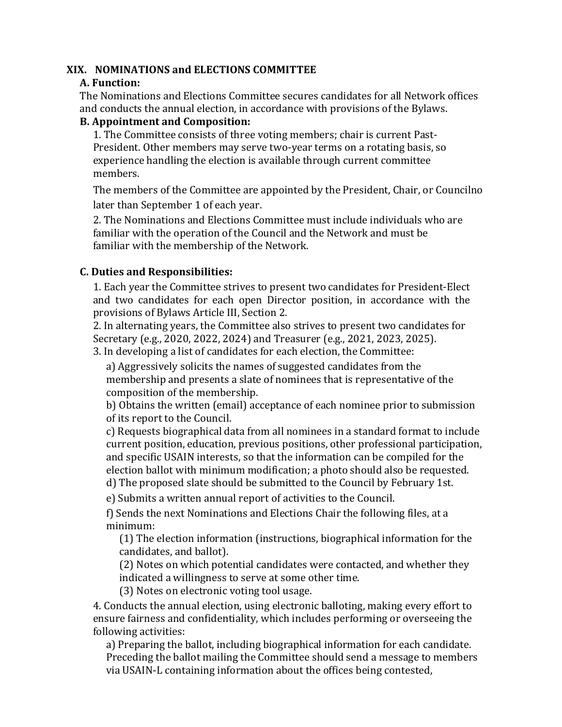#### **XIX. NOMINATIONS and ELECTIONS COMMITTEE**

#### **A. Function:**

The Nominations and Elections Committee secures candidates for all Network offices and conducts the annual election, in accordance with provisions of the Bylaws.

#### **B. Appointment and Composition:**

1. The Committee consists of three voting members; chair is current Past-President. Other members may serve two-year terms on a rotating basis, so experience handling the election is available through current committee members.

The members of the Committee are appointed by the President, Chair, or Councilno later than September 1 of each year.

2. The Nominations and Elections Committee must include individuals who are familiar with the operation of the Council and the Network and must be familiar with the membership of the Network.

## **C. Duties and Responsibilities:**

1. Each year the Committee strives to present two candidates for President-Elect and two candidates for each open Director position, in accordance with the provisions of Bylaws Article III, Section 2.

2. In alternating years, the Committee also strives to present two candidates for Secretary (e.g., 2020, 2022, 2024) and Treasurer (e.g., 2021, 2023, 2025).

3. In developing a list of candidates for each election, the Committee:

a) Aggressively solicits the names of suggested candidates from the membership and presents a slate of nominees that is representative of the composition of the membership.

b) Obtains the written (email) acceptance of each nominee prior to submission of its report to the Council.

c) Requests biographical data from all nominees in a standard format to include current position, education, previous positions, other professional participation, and specific USAIN interests, so that the information can be compiled for the election ballot with minimum modification; a photo should also be requested. d) The proposed slate should be submitted to the Council by February 1st.

e) Submits a written annual report of activities to the Council.

f) Sends the next Nominations and Elections Chair the following files, at a minimum:

(1) The election information (instructions, biographical information for the candidates, and ballot).

(2) Notes on which potential candidates were contacted, and whether they indicated a willingness to serve at some other time.

(3) Notes on electronic voting tool usage.

4. Conducts the annual election, using electronic balloting, making every effort to ensure fairness and confidentiality, which includes performing or overseeing the following activities:

a) Preparing the ballot, including biographical information for each candidate. Preceding the ballot mailing the Committee should send a message to members via USAIN-L containing information about the offices being contested,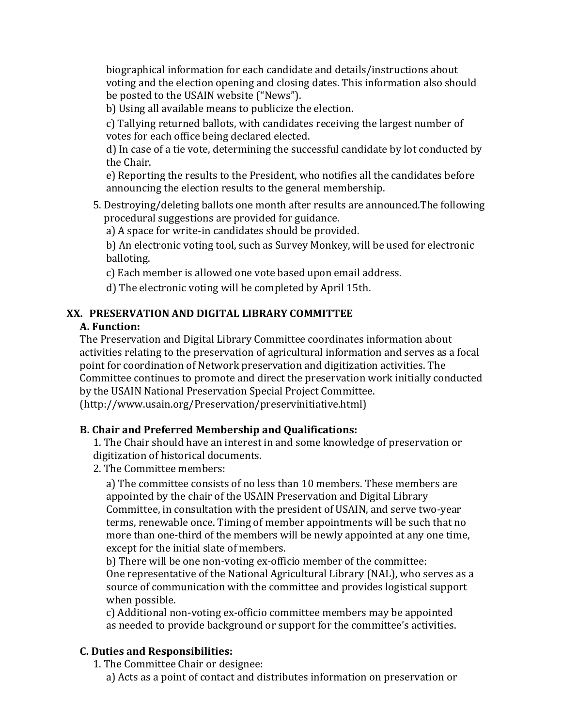biographical information for each candidate and details/instructions about voting and the election opening and closing dates. This information also should be posted to the USAIN website ("News").

b) Using all available means to publicize the election.

c) Tallying returned ballots, with candidates receiving the largest number of votes for each office being declared elected.

d) In case of a tie vote, determining the successful candidate by lot conducted by the Chair.

e) Reporting the results to the President, who notifies all the candidates before announcing the election results to the general membership.

5. Destroying/deleting ballots one month after results are announced. The following procedural suggestions are provided for guidance.

a) A space for write-in candidates should be provided.

b) An electronic voting tool, such as Survey Monkey, will be used for electronic balloting.

c) Each member is allowed one vote based upon email address.

d) The electronic voting will be completed by April 15th.

# **XX. PRESERVATION AND DIGITAL LIBRARY COMMITTEE**

## **A. Function:**

The Preservation and Digital Library Committee coordinates information about activities relating to the preservation of agricultural information and serves as a focal point for coordination of Network preservation and digitization activities. The Committee continues to promote and direct the preservation work initially conducted by the USAIN National Preservation Special Project Committee. (http://www.usain.org/Preservation/preservinitiative.html)

# **B. Chair and Preferred Membership and Qualifications:**

1. The Chair should have an interest in and some knowledge of preservation or digitization of historical documents.

2. The Committee members:

a) The committee consists of no less than 10 members. These members are appointed by the chair of the USAIN Preservation and Digital Library Committee, in consultation with the president of USAIN, and serve two-year terms, renewable once. Timing of member appointments will be such that no more than one-third of the members will be newly appointed at any one time, except for the initial slate of members.

b) There will be one non-voting ex-officio member of the committee: One representative of the National Agricultural Library (NAL), who serves as a source of communication with the committee and provides logistical support when possible.

c) Additional non-voting ex-officio committee members may be appointed as needed to provide background or support for the committee's activities.

# **C. Duties and Responsibilities:**

1. The Committee Chair or designee:

a) Acts as a point of contact and distributes information on preservation or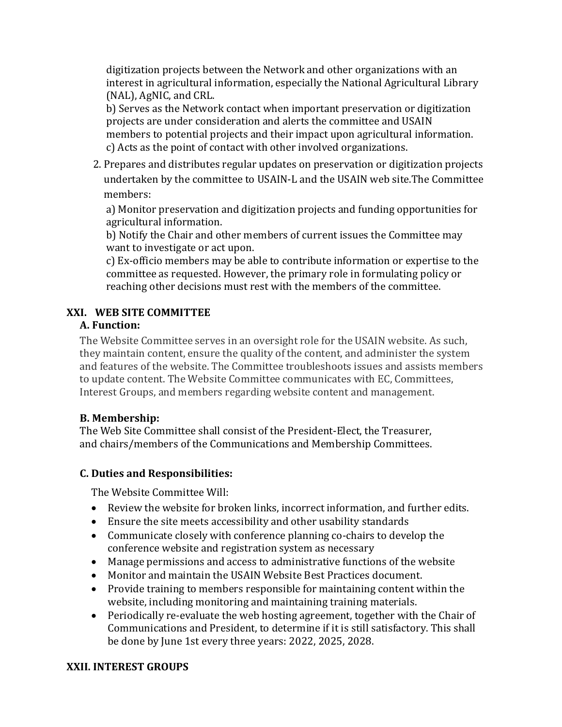digitization projects between the Network and other organizations with an interest in agricultural information, especially the National Agricultural Library (NAL), AgNIC, and CRL.

b) Serves as the Network contact when important preservation or digitization projects are under consideration and alerts the committee and USAIN members to potential projects and their impact upon agricultural information. c) Acts as the point of contact with other involved organizations.

2. Prepares and distributes regular updates on preservation or digitization projects undertaken by the committee to USAIN-L and the USAIN web site. The Committee members:

a) Monitor preservation and digitization projects and funding opportunities for agricultural information.

b) Notify the Chair and other members of current issues the Committee may want to investigate or act upon.

c) Ex-officio members may be able to contribute information or expertise to the committee as requested. However, the primary role in formulating policy or reaching other decisions must rest with the members of the committee.

# **XXI. WEB SITE COMMITTEE**

## **A. Function:**

The Website Committee serves in an oversight role for the USAIN website. As such, they maintain content, ensure the quality of the content, and administer the system and features of the website. The Committee troubleshoots issues and assists members to update content. The Website Committee communicates with EC, Committees, Interest Groups, and members regarding website content and management.

# **B. Membership:**

The Web Site Committee shall consist of the President-Elect, the Treasurer, and chairs/members of the Communications and Membership Committees.

# **C. Duties and Responsibilities:**

The Website Committee Will:

- Review the website for broken links, incorrect information, and further edits.
- Ensure the site meets accessibility and other usability standards
- Communicate closely with conference planning co-chairs to develop the conference website and registration system as necessary
- Manage permissions and access to administrative functions of the website
- Monitor and maintain the USAIN Website Best Practices document.
- Provide training to members responsible for maintaining content within the website, including monitoring and maintaining training materials.
- Periodically re-evaluate the web hosting agreement, together with the Chair of Communications and President, to determine if it is still satisfactory. This shall be done by June 1st every three years: 2022, 2025, 2028.

# **XXII. INTEREST GROUPS**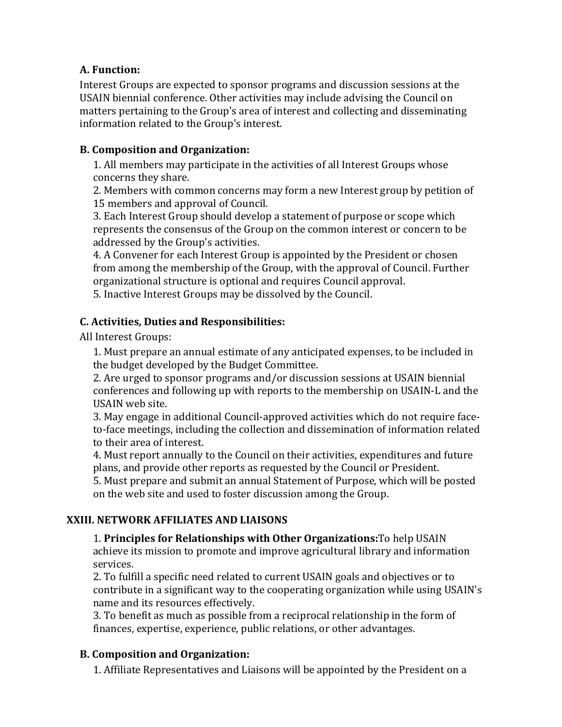## **A. Function:**

Interest Groups are expected to sponsor programs and discussion sessions at the USAIN biennial conference. Other activities may include advising the Council on matters pertaining to the Group's area of interest and collecting and disseminating information related to the Group's interest.

## **B. Composition and Organization:**

1. All members may participate in the activities of all Interest Groups whose concerns they share.

2. Members with common concerns may form a new Interest group by petition of 15 members and approval of Council.

3. Each Interest Group should develop a statement of purpose or scope which represents the consensus of the Group on the common interest or concern to be addressed by the Group's activities.

4. A Convener for each Interest Group is appointed by the President or chosen from among the membership of the Group, with the approval of Council. Further organizational structure is optional and requires Council approval.

5. Inactive Interest Groups may be dissolved by the Council.

# **C. Activities, Duties and Responsibilities:**

All Interest Groups:

1. Must prepare an annual estimate of any anticipated expenses, to be included in the budget developed by the Budget Committee.

2. Are urged to sponsor programs and/or discussion sessions at USAIN biennial conferences and following up with reports to the membership on USAIN-L and the USAIN web site.

3. May engage in additional Council-approved activities which do not require faceto-face meetings, including the collection and dissemination of information related to their area of interest.

4. Must report annually to the Council on their activities, expenditures and future plans, and provide other reports as requested by the Council or President.

5. Must prepare and submit an annual Statement of Purpose, which will be posted on the web site and used to foster discussion among the Group.

# **XXIII. NETWORK AFFILIATES AND LIAISONS**

1. **Principles for Relationships with Other Organizations:**To help USAIN achieve its mission to promote and improve agricultural library and information services.

2. To fulfill a specific need related to current USAIN goals and objectives or to contribute in a significant way to the cooperating organization while using USAIN's name and its resources effectively.

3. To benefit as much as possible from a reciprocal relationship in the form of finances, expertise, experience, public relations, or other advantages.

#### **B. Composition and Organization:**

1. Affiliate Representatives and Liaisons will be appointed by the President on a